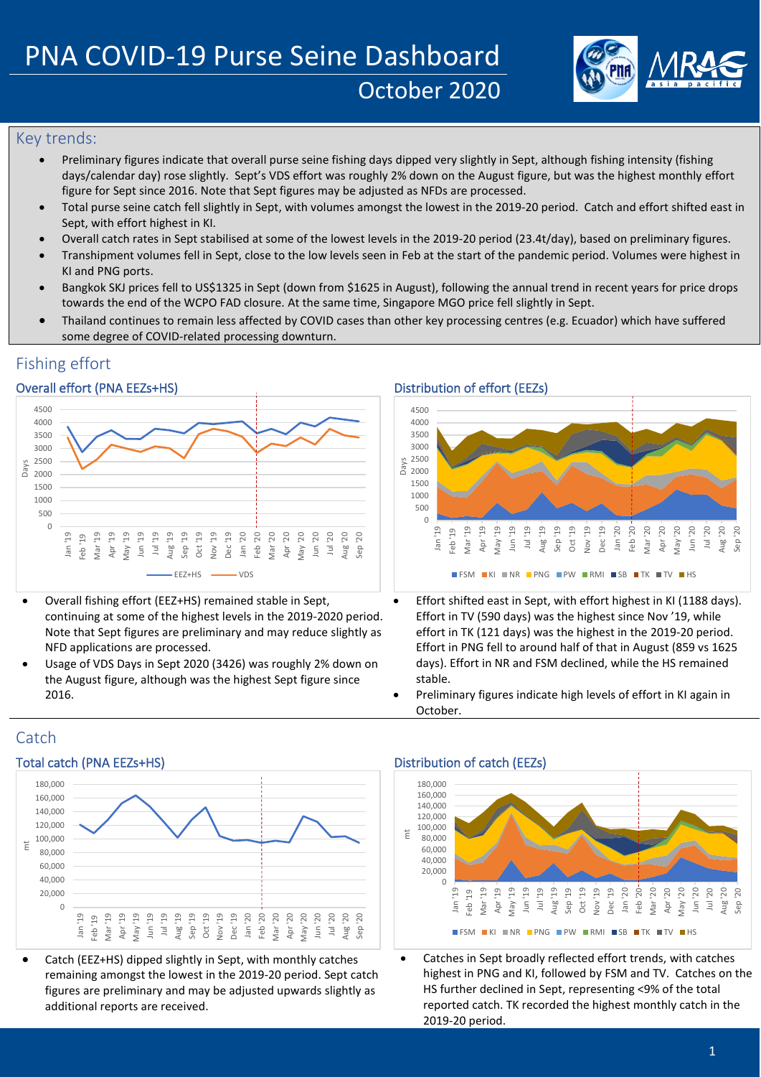

# Key trends:

- Preliminary figures indicate that overall purse seine fishing days dipped very slightly in Sept, although fishing intensity (fishing days/calendar day) rose slightly. Sept's VDS effort was roughly 2% down on the August figure, but was the highest monthly effort figure for Sept since 2016. Note that Sept figures may be adjusted as NFDs are processed.
- Total purse seine catch fell slightly in Sept, with volumes amongst the lowest in the 2019-20 period. Catch and effort shifted east in Sept, with effort highest in KI.
- Overall catch rates in Sept stabilised at some of the lowest levels in the 2019-20 period (23.4t/day), based on preliminary figures.
- Transhipment volumes fell in Sept, close to the low levels seen in Feb at the start of the pandemic period. Volumes were highest in KI and PNG ports.
- Bangkok SKJ prices fell to US\$1325 in Sept (down from \$1625 in August), following the annual trend in recent years for price drops towards the end of the WCPO FAD closure. At the same time, Singapore MGO price fell slightly in Sept.
- Thailand continues to remain less affected by COVID cases than other key processing centres (e.g. Ecuador) which have suffered some degree of COVID-related processing downturn.

# Fishing effort

## Overall effort (PNA EEZs+HS) Distribution of effort (EEZs)



- Overall fishing effort (EEZ+HS) remained stable in Sept, continuing at some of the highest levels in the 2019-2020 period. Note that Sept figures are preliminary and may reduce slightly as NFD applications are processed.
- Usage of VDS Days in Sept 2020 (3426) was roughly 2% down on the August figure, although was the highest Sept figure since 2016.





- Effort shifted east in Sept, with effort highest in KI (1188 days). Effort in TV (590 days) was the highest since Nov '19, while effort in TK (121 days) was the highest in the 2019-20 period. Effort in PNG fell to around half of that in August (859 vs 1625 days). Effort in NR and FSM declined, while the HS remained stable.
- Preliminary figures indicate high levels of effort in KI again in October.

# **Catch**



• Catch (EEZ+HS) dipped slightly in Sept, with monthly catches remaining amongst the lowest in the 2019-20 period. Sept catch figures are preliminary and may be adjusted upwards slightly as additional reports are received.

## Total catch (PNA EEZs+HS) Total catch (EEZs)

mt



Catches in Sept broadly reflected effort trends, with catches highest in PNG and KI, followed by FSM and TV. Catches on the HS further declined in Sept, representing <9% of the total reported catch. TK recorded the highest monthly catch in the 2019-20 period.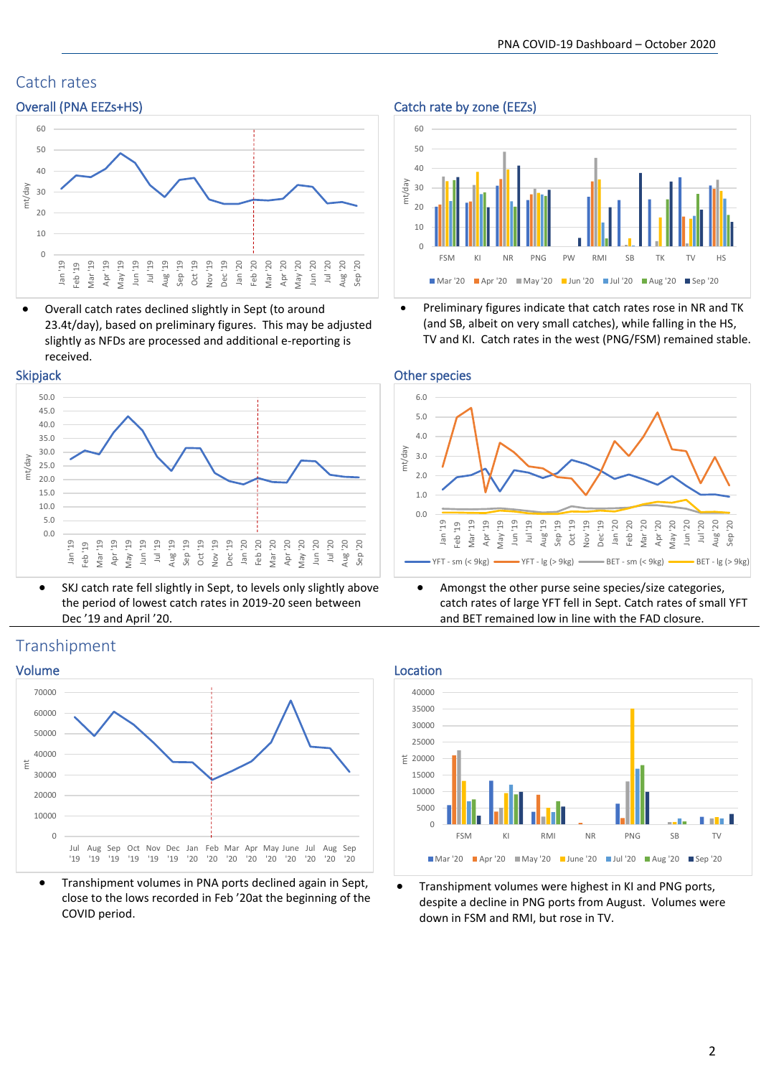# Catch rates



• Overall catch rates declined slightly in Sept (to around 23.4t/day), based on preliminary figures. This may be adjusted slightly as NFDs are processed and additional e-reporting is received.





• SKJ catch rate fell slightly in Sept, to levels only slightly above the period of lowest catch rates in 2019-20 seen between Dec '19 and April '20.

# Transhipment



• Transhipment volumes in PNA ports declined again in Sept, close to the lows recorded in Feb '20at the beginning of the COVID period.

## Overall (PNA EEZs+HS) Catch rate by zone (EEZs)



• Preliminary figures indicate that catch rates rose in NR and TK (and SB, albeit on very small catches), while falling in the HS, TV and KI. Catch rates in the west (PNG/FSM) remained stable.



• Amongst the other purse seine species/size categories, catch rates of large YFT fell in Sept. Catch rates of small YFT and BET remained low in line with the FAD closure.



• Transhipment volumes were highest in KI and PNG ports, despite a decline in PNG ports from August. Volumes were down in FSM and RMI, but rose in TV.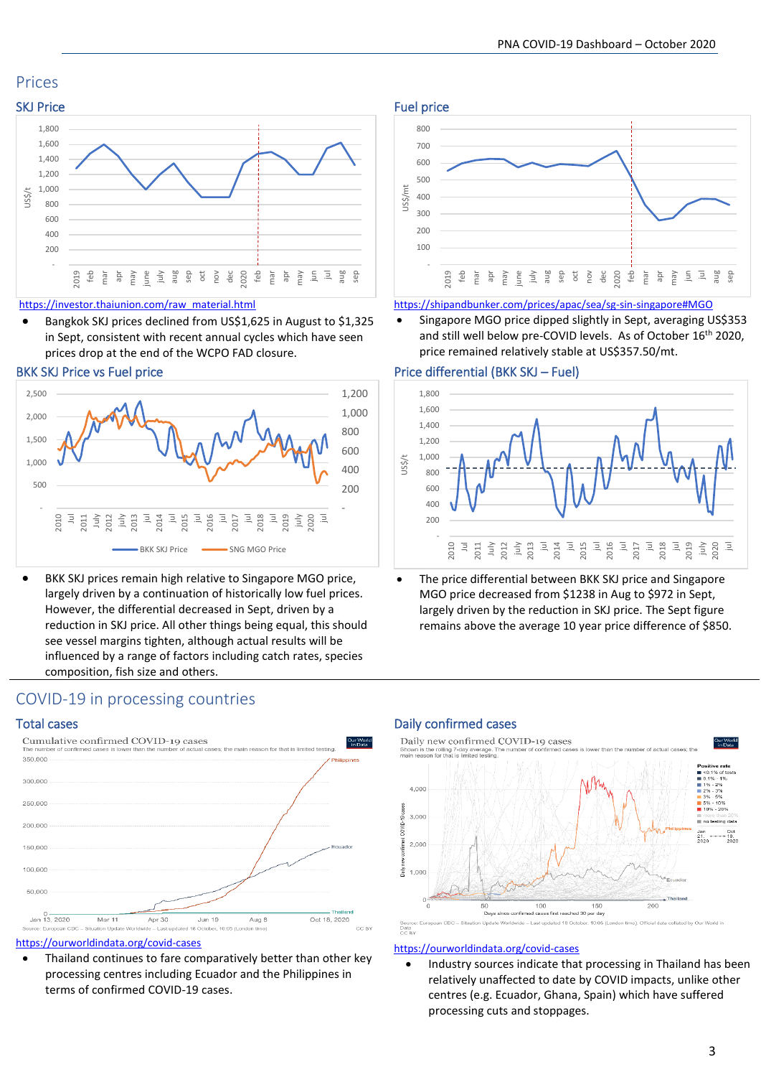# Prices



### [https://investor.thaiunion.com/raw\\_material.html](https://investor.thaiunion.com/raw_material.html)

• Bangkok SKJ prices declined from US\$1,625 in August to \$1,325 in Sept, consistent with recent annual cycles which have seen prices drop at the end of the WCPO FAD closure.



BKK SKJ prices remain high relative to Singapore MGO price, largely driven by a continuation of historically low fuel prices. However, the differential decreased in Sept, driven by a reduction in SKJ price. All other things being equal, this should see vessel margins tighten, although actual results will be influenced by a range of factors including catch rates, species composition, fish size and others.

# COVID-19 in processing countries



### <https://ourworldindata.org/covid-cases>

Thailand continues to fare comparatively better than other key processing centres including Ecuador and the Philippines in terms of confirmed COVID-19 cases.





#### <https://shipandbunker.com/prices/apac/sea/sg-sin-singapore#MGO>

• Singapore MGO price dipped slightly in Sept, averaging US\$353 and still well below pre-COVID levels. As of October 16<sup>th</sup> 2020, price remained relatively stable at US\$357.50/mt.

### BKK SKJ Price vs Fuel price Price Price differential (BKK SKJ – Fuel)



The price differential between BKK SKJ price and Singapore MGO price decreased from \$1238 in Aug to \$972 in Sept, largely driven by the reduction in SKJ price. The Sept figure remains above the average 10 year price difference of \$850.

### Total cases Daily confirmed cases



### <https://ourworldindata.org/covid-cases>

• Industry sources indicate that processing in Thailand has been relatively unaffected to date by COVID impacts, unlike other centres (e.g. Ecuador, Ghana, Spain) which have suffered processing cuts and stoppages.